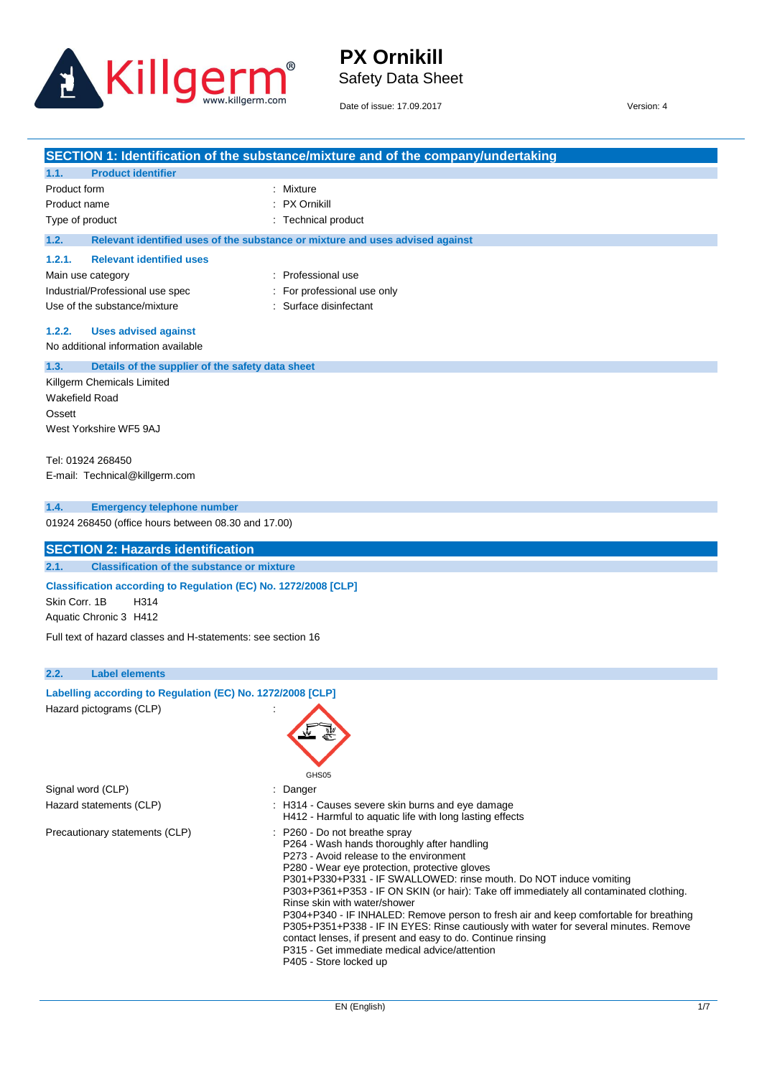

## **PX Ornikill** Safety Data Sheet

Date of issue: 17.09.2017Version: 4

|                                                                                                       | SECTION 1: Identification of the substance/mixture and of the company/undertaking                                     |
|-------------------------------------------------------------------------------------------------------|-----------------------------------------------------------------------------------------------------------------------|
| <b>Product identifier</b><br>1.1.                                                                     |                                                                                                                       |
| Product form                                                                                          | : Mixture                                                                                                             |
| Product name                                                                                          | : PX Ornikill                                                                                                         |
| Type of product                                                                                       | : Technical product                                                                                                   |
| 1.2.                                                                                                  | Relevant identified uses of the substance or mixture and uses advised against                                         |
| 1.2.1.<br><b>Relevant identified uses</b>                                                             |                                                                                                                       |
| Main use category                                                                                     | : Professional use                                                                                                    |
| Industrial/Professional use spec                                                                      | : For professional use only                                                                                           |
| Use of the substance/mixture                                                                          | : Surface disinfectant                                                                                                |
| 1.2.2.<br><b>Uses advised against</b>                                                                 |                                                                                                                       |
| No additional information available                                                                   |                                                                                                                       |
| 1.3.<br>Details of the supplier of the safety data sheet                                              |                                                                                                                       |
| Killgerm Chemicals Limited                                                                            |                                                                                                                       |
| Wakefield Road                                                                                        |                                                                                                                       |
| Ossett                                                                                                |                                                                                                                       |
| West Yorkshire WF5 9AJ                                                                                |                                                                                                                       |
| Tel: 01924 268450                                                                                     |                                                                                                                       |
| E-mail: Technical@killgerm.com                                                                        |                                                                                                                       |
|                                                                                                       |                                                                                                                       |
| 1.4.<br><b>Emergency telephone number</b>                                                             |                                                                                                                       |
| 01924 268450 (office hours between 08.30 and 17.00)                                                   |                                                                                                                       |
|                                                                                                       |                                                                                                                       |
| <b>SECTION 2: Hazards identification</b><br>2.1.<br><b>Classification of the substance or mixture</b> |                                                                                                                       |
|                                                                                                       |                                                                                                                       |
| Classification according to Regulation (EC) No. 1272/2008 [CLP]                                       |                                                                                                                       |
| Skin Corr. 1B<br>H314                                                                                 |                                                                                                                       |
| Aquatic Chronic 3 H412                                                                                |                                                                                                                       |
| Full text of hazard classes and H-statements: see section 16                                          |                                                                                                                       |
|                                                                                                       |                                                                                                                       |
| 2.2.<br><b>Label elements</b>                                                                         |                                                                                                                       |
| Labelling according to Regulation (EC) No. 1272/2008 [CLP]                                            |                                                                                                                       |
| Hazard pictograms (CLP)                                                                               |                                                                                                                       |
|                                                                                                       |                                                                                                                       |
|                                                                                                       |                                                                                                                       |
|                                                                                                       |                                                                                                                       |
|                                                                                                       | GHS05                                                                                                                 |
| Signal word (CLP)                                                                                     | : Danger                                                                                                              |
| Hazard statements (CLP)                                                                               | : H314 - Causes severe skin burns and eye damage                                                                      |
|                                                                                                       | H412 - Harmful to aquatic life with long lasting effects                                                              |
| Precautionary statements (CLP)                                                                        | : P260 - Do not breathe spray                                                                                         |
|                                                                                                       | P264 - Wash hands thoroughly after handling<br>P273 - Avoid release to the environment                                |
|                                                                                                       | P280 - Wear eye protection, protective gloves                                                                         |
|                                                                                                       | P301+P330+P331 - IF SWALLOWED: rinse mouth. Do NOT induce vomiting                                                    |
|                                                                                                       | P303+P361+P353 - IF ON SKIN (or hair): Take off immediately all contaminated clothing.                                |
|                                                                                                       | Rinse skin with water/shower<br>P304+P340 - IF INHALED: Remove person to fresh air and keep comfortable for breathing |
|                                                                                                       | P305+P351+P338 - IF IN EYES: Rinse cautiously with water for several minutes. Remove                                  |
|                                                                                                       | contact lenses, if present and easy to do. Continue rinsing                                                           |
|                                                                                                       | P315 - Get immediate medical advice/attention<br>P405 - Store locked up                                               |
|                                                                                                       |                                                                                                                       |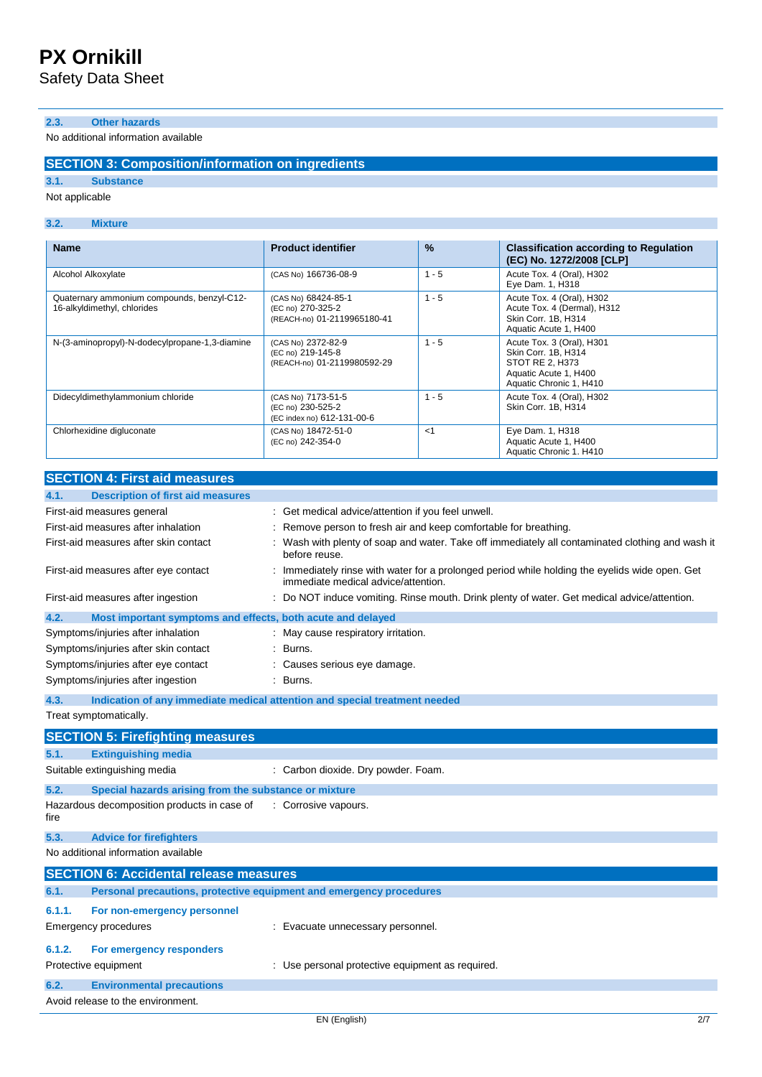Safety Data Sheet

### **2.3. Other hazards**

No additional information available

## **SECTION 3: Composition/information on ingredients**

**3.1. Substance**

Not applicable

### **3.2. Mixture**

| <b>Name</b>                                                               | <b>Product identifier</b>                                               | $\frac{9}{6}$ | <b>Classification according to Regulation</b><br>(EC) No. 1272/2008 [CLP]                                               |
|---------------------------------------------------------------------------|-------------------------------------------------------------------------|---------------|-------------------------------------------------------------------------------------------------------------------------|
| Alcohol Alkoxylate                                                        | (CAS No) 166736-08-9                                                    | $1 - 5$       | Acute Tox. 4 (Oral), H302<br>Eye Dam. 1, H318                                                                           |
| Quaternary ammonium compounds, benzyl-C12-<br>16-alkyldimethyl, chlorides | (CAS No) 68424-85-1<br>(EC no) 270-325-2<br>(REACH-no) 01-2119965180-41 | $1 - 5$       | Acute Tox. 4 (Oral), H302<br>Acute Tox. 4 (Dermal), H312<br>Skin Corr. 1B, H314<br>Aquatic Acute 1, H400                |
| N-(3-aminopropyl)-N-dodecylpropane-1,3-diamine                            | (CAS No) 2372-82-9<br>(EC no) 219-145-8<br>(REACH-no) 01-2119980592-29  | $1 - 5$       | Acute Tox. 3 (Oral), H301<br>Skin Corr. 1B. H314<br>STOT RE 2, H373<br>Aquatic Acute 1, H400<br>Aquatic Chronic 1, H410 |
| Didecyldimethylammonium chloride                                          | (CAS No) 7173-51-5<br>(EC no) 230-525-2<br>(EC index no) 612-131-00-6   | $1 - 5$       | Acute Tox. 4 (Oral), H302<br>Skin Corr. 1B. H314                                                                        |
| Chlorhexidine digluconate                                                 | (CAS No) 18472-51-0<br>(EC no) 242-354-0                                | <1            | Eye Dam. 1, H318<br>Aquatic Acute 1, H400<br>Aquatic Chronic 1. H410                                                    |

|        | <b>SECTION 4: First aid measures</b>                                       |                                                                                                                                     |
|--------|----------------------------------------------------------------------------|-------------------------------------------------------------------------------------------------------------------------------------|
| 4.1.   | <b>Description of first aid measures</b>                                   |                                                                                                                                     |
|        | First-aid measures general                                                 | Get medical advice/attention if you feel unwell.                                                                                    |
|        | First-aid measures after inhalation                                        | Remove person to fresh air and keep comfortable for breathing.                                                                      |
|        | First-aid measures after skin contact                                      | Wash with plenty of soap and water. Take off immediately all contaminated clothing and wash it<br>before reuse.                     |
|        | First-aid measures after eye contact                                       | Immediately rinse with water for a prolonged period while holding the eyelids wide open. Get<br>immediate medical advice/attention. |
|        | First-aid measures after ingestion                                         | Do NOT induce vomiting. Rinse mouth. Drink plenty of water. Get medical advice/attention.                                           |
| 4.2.   | Most important symptoms and effects, both acute and delayed                |                                                                                                                                     |
|        | Symptoms/injuries after inhalation                                         | May cause respiratory irritation.                                                                                                   |
|        | Symptoms/injuries after skin contact                                       | Burns.                                                                                                                              |
|        | Symptoms/injuries after eye contact                                        | Causes serious eye damage.                                                                                                          |
|        | Symptoms/injuries after ingestion                                          | Burns.                                                                                                                              |
| 4.3.   | Indication of any immediate medical attention and special treatment needed |                                                                                                                                     |
|        | Treat symptomatically.                                                     |                                                                                                                                     |
|        | <b>SECTION 5: Firefighting measures</b>                                    |                                                                                                                                     |
| 5.1.   | <b>Extinguishing media</b>                                                 |                                                                                                                                     |
|        | Suitable extinguishing media                                               | : Carbon dioxide. Dry powder. Foam.                                                                                                 |
| 5.2.   | Special hazards arising from the substance or mixture                      |                                                                                                                                     |
| fire   | Hazardous decomposition products in case of                                | : Corrosive vapours.                                                                                                                |
| 5.3.   | <b>Advice for firefighters</b>                                             |                                                                                                                                     |
|        | No additional information available                                        |                                                                                                                                     |
|        | <b>SECTION 6: Accidental release measures</b>                              |                                                                                                                                     |
| 6.1.   | Personal precautions, protective equipment and emergency procedures        |                                                                                                                                     |
| 6.1.1. | For non-emergency personnel                                                |                                                                                                                                     |
|        | <b>Emergency procedures</b>                                                | Evacuate unnecessary personnel.                                                                                                     |
| 6.1.2. | For emergency responders                                                   |                                                                                                                                     |
|        | Protective equipment                                                       | Use personal protective equipment as required.                                                                                      |
| 6.2.   | <b>Environmental precautions</b>                                           |                                                                                                                                     |
|        | Avoid release to the environment.                                          |                                                                                                                                     |
|        |                                                                            | 2/7<br>EN (English)                                                                                                                 |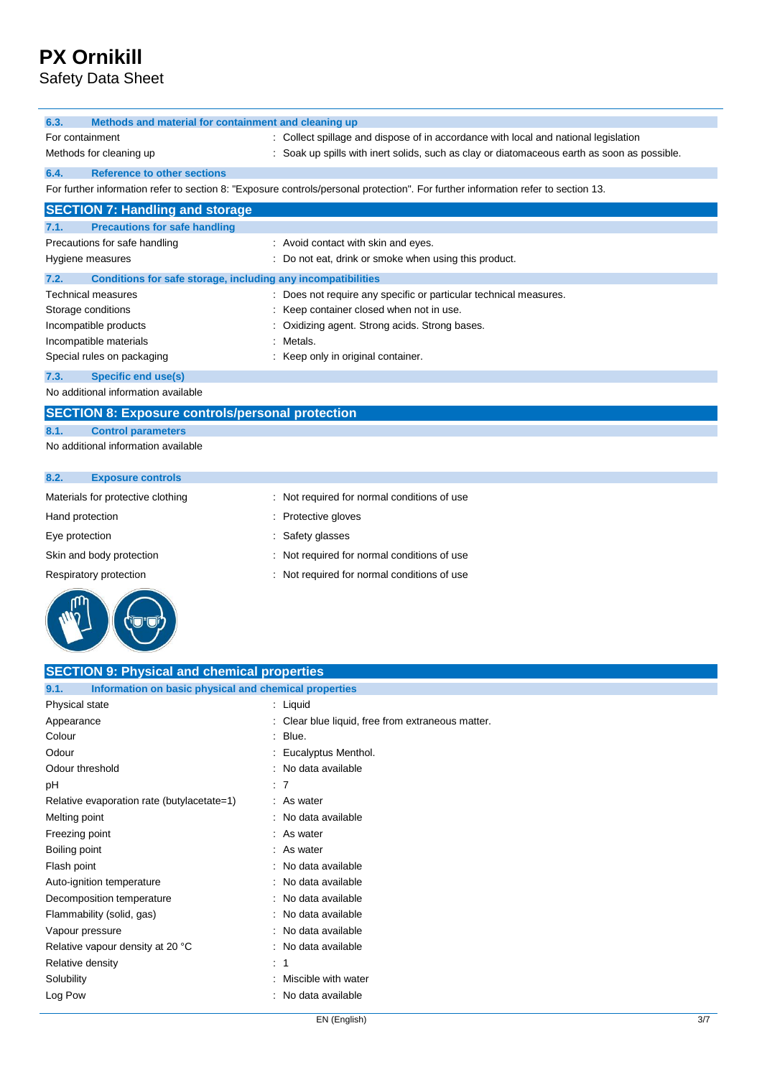Safety Data Sheet

| 6.3.                                | Methods and material for containment and cleaning up         |                                                                                                                                   |  |
|-------------------------------------|--------------------------------------------------------------|-----------------------------------------------------------------------------------------------------------------------------------|--|
| For containment                     |                                                              | : Collect spillage and dispose of in accordance with local and national legislation                                               |  |
|                                     | Methods for cleaning up                                      | Soak up spills with inert solids, such as clay or diatomaceous earth as soon as possible.                                         |  |
| 6.4.                                | <b>Reference to other sections</b>                           |                                                                                                                                   |  |
|                                     |                                                              | For further information refer to section 8: "Exposure controls/personal protection". For further information refer to section 13. |  |
|                                     | <b>SECTION 7: Handling and storage</b>                       |                                                                                                                                   |  |
| 7.1.                                | <b>Precautions for safe handling</b>                         |                                                                                                                                   |  |
|                                     | Precautions for safe handling                                | : Avoid contact with skin and eyes.                                                                                               |  |
|                                     | Hygiene measures                                             | Do not eat, drink or smoke when using this product.                                                                               |  |
| 7.2.                                | Conditions for safe storage, including any incompatibilities |                                                                                                                                   |  |
|                                     | Technical measures                                           | Does not require any specific or particular technical measures.                                                                   |  |
|                                     | Storage conditions                                           | Keep container closed when not in use.                                                                                            |  |
|                                     | Incompatible products                                        | Oxidizing agent. Strong acids. Strong bases.                                                                                      |  |
|                                     | Incompatible materials                                       | Metals.                                                                                                                           |  |
|                                     | Special rules on packaging                                   | Keep only in original container.                                                                                                  |  |
| 7.3.                                | <b>Specific end use(s)</b>                                   |                                                                                                                                   |  |
| No additional information available |                                                              |                                                                                                                                   |  |
|                                     | <b>SECTION 8: Exposure controls/personal protection</b>      |                                                                                                                                   |  |
| 8.1.                                | <b>Control parameters</b>                                    |                                                                                                                                   |  |
|                                     | No additional information available                          |                                                                                                                                   |  |
| 8.2.                                | <b>Exposure controls</b>                                     |                                                                                                                                   |  |

| Materials for protective clothing | : Not required for normal conditions of use |
|-----------------------------------|---------------------------------------------|
| Hand protection                   | Protective gloves                           |
| Eye protection                    | : Safety glasses                            |
| Skin and body protection          | : Not required for normal conditions of use |
| Respiratory protection            | : Not required for normal conditions of use |
| m <sub>0</sub>                    |                                             |



| <b>SECTION 9: Physical and chemical properties</b>            |                                                   |     |
|---------------------------------------------------------------|---------------------------------------------------|-----|
| Information on basic physical and chemical properties<br>9.1. |                                                   |     |
| Physical state                                                | : Liquid                                          |     |
| Appearance                                                    | : Clear blue liquid, free from extraneous matter. |     |
| Colour                                                        | $:$ Blue.                                         |     |
| Odour                                                         | : Eucalyptus Menthol.                             |     |
| Odour threshold                                               | : No data available                               |     |
| pH                                                            | :7                                                |     |
| Relative evaporation rate (butylacetate=1)                    | : As water                                        |     |
| Melting point                                                 | : No data available                               |     |
| Freezing point                                                | : As water                                        |     |
| Boiling point                                                 | $:$ As water                                      |     |
| Flash point                                                   | : No data available                               |     |
| Auto-ignition temperature                                     | : No data available                               |     |
| Decomposition temperature                                     | : No data available                               |     |
| Flammability (solid, gas)                                     | : No data available                               |     |
| Vapour pressure                                               | : No data available                               |     |
| Relative vapour density at 20 °C                              | : No data available                               |     |
| Relative density                                              | $\therefore$ 1                                    |     |
| Solubility                                                    | : Miscible with water                             |     |
| Log Pow                                                       | : No data available                               |     |
|                                                               | EN (English)                                      | 3/7 |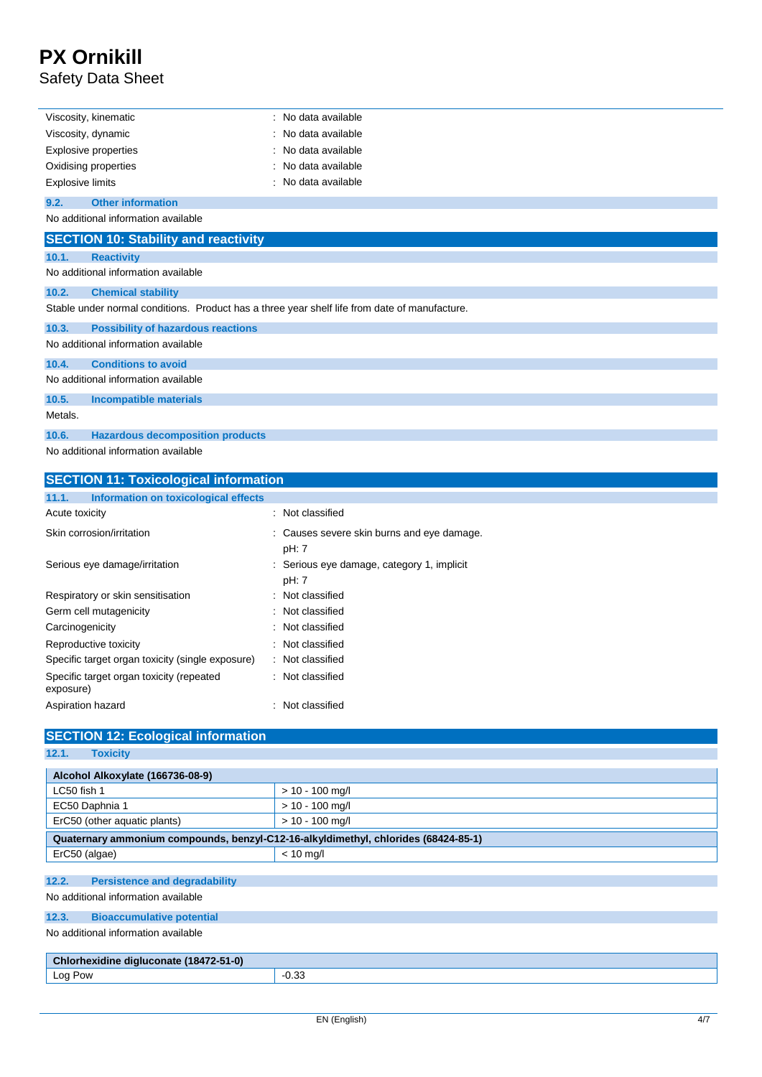# **PX Ornikill** Safety Data Sheet

| Viscosity, kinematic                                                                          | No data available |
|-----------------------------------------------------------------------------------------------|-------------------|
| Viscosity, dynamic                                                                            | No data available |
| Explosive properties                                                                          | No data available |
| Oxidising properties                                                                          | No data available |
| <b>Explosive limits</b>                                                                       | No data available |
| 9.2.<br><b>Other information</b>                                                              |                   |
| No additional information available                                                           |                   |
| <b>SECTION 10: Stability and reactivity</b>                                                   |                   |
| 10.1.<br><b>Reactivity</b>                                                                    |                   |
| No additional information available                                                           |                   |
| 10.2.<br><b>Chemical stability</b>                                                            |                   |
| Stable under normal conditions. Product has a three year shelf life from date of manufacture. |                   |
| 10.3.<br><b>Possibility of hazardous reactions</b>                                            |                   |
| No additional information available                                                           |                   |
| <b>Conditions to avoid</b><br>10.4.                                                           |                   |
| No additional information available                                                           |                   |
| 10.5.<br><b>Incompatible materials</b>                                                        |                   |
| Metals.                                                                                       |                   |
| 10.6.<br><b>Hazardous decomposition products</b>                                              |                   |
| No additional information available                                                           |                   |

| <b>SECTION 11: Toxicological information</b>          |                                                     |  |  |
|-------------------------------------------------------|-----------------------------------------------------|--|--|
| Information on toxicological effects<br>11.1.         |                                                     |  |  |
| Acute toxicity                                        | Not classified<br>÷                                 |  |  |
| Skin corrosion/irritation                             | : Causes severe skin burns and eye damage.<br>pH: 7 |  |  |
| Serious eye damage/irritation                         | : Serious eye damage, category 1, implicit<br>pH: 7 |  |  |
| Respiratory or skin sensitisation                     | : Not classified                                    |  |  |
| Germ cell mutagenicity                                | : Not classified                                    |  |  |
| Carcinogenicity                                       | : Not classified                                    |  |  |
| Reproductive toxicity                                 | Not classified<br>÷                                 |  |  |
| Specific target organ toxicity (single exposure)      | : Not classified                                    |  |  |
| Specific target organ toxicity (repeated<br>exposure) | : Not classified                                    |  |  |
| Aspiration hazard                                     | Not classified<br>÷                                 |  |  |

| <b>SECTION 12: Ecological information</b>                                          |                   |  |
|------------------------------------------------------------------------------------|-------------------|--|
| 12.1.<br><b>Toxicity</b>                                                           |                   |  |
| Alcohol Alkoxylate (166736-08-9)                                                   |                   |  |
| LC50 fish 1                                                                        | $> 10 - 100$ mg/l |  |
| EC50 Daphnia 1                                                                     | $> 10 - 100$ mg/l |  |
| ErC50 (other aquatic plants)                                                       | $> 10 - 100$ mg/l |  |
| Quaternary ammonium compounds, benzyl-C12-16-alkyldimethyl, chlorides (68424-85-1) |                   |  |
| ErC50 (algae)                                                                      | $< 10$ mg/l       |  |
|                                                                                    |                   |  |
| 12.2.<br><b>Persistence and degradability</b>                                      |                   |  |
| No additional information available                                                |                   |  |
| 12.3.<br><b>Bioaccumulative potential</b>                                          |                   |  |
| No additional information available                                                |                   |  |
|                                                                                    |                   |  |
| Chlorhexidine digluconate (18472-51-0)                                             |                   |  |
| Log Pow                                                                            | $-0.33$           |  |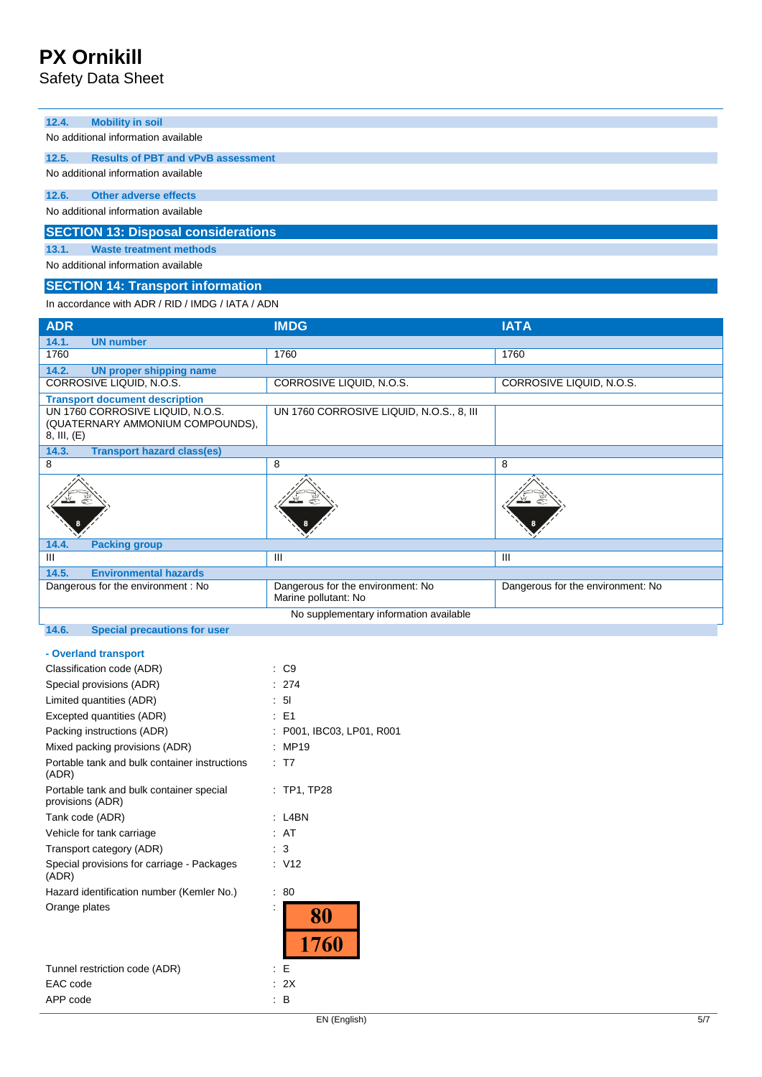Safety Data Sheet

| <b>Mobility in soil</b><br>12.4.                   |
|----------------------------------------------------|
| No additional information available                |
| <b>Results of PBT and vPvB assessment</b><br>12.5. |
| No additional information available                |
| Other adverse effects<br>12.6.                     |
| No additional information available                |
| <b>SECTION 13: Disposal considerations</b>         |
| <b>Waste treatment methods</b><br>13.1.            |
| No additional information available                |
|                                                    |

### **SECTION 14: Transport information** In accordance with ADR / RID / IMDG / IATA / ADN

| <b>ADR</b>                                                                          | <b>IMDG</b>                                               | <b>IATA</b>                       |  |
|-------------------------------------------------------------------------------------|-----------------------------------------------------------|-----------------------------------|--|
| 14.1.<br><b>UN number</b>                                                           |                                                           |                                   |  |
| 1760                                                                                | 1760                                                      | 1760                              |  |
| <b>UN proper shipping name</b><br>14.2.                                             |                                                           |                                   |  |
| CORROSIVE LIQUID, N.O.S.                                                            | CORROSIVE LIQUID, N.O.S.                                  | CORROSIVE LIQUID, N.O.S.          |  |
| <b>Transport document description</b>                                               |                                                           |                                   |  |
| UN 1760 CORROSIVE LIQUID, N.O.S.<br>(QUATERNARY AMMONIUM COMPOUNDS),<br>8, III, (E) | UN 1760 CORROSIVE LIQUID, N.O.S., 8, III                  |                                   |  |
| 14.3.<br><b>Transport hazard class(es)</b>                                          |                                                           |                                   |  |
| 8                                                                                   | 8                                                         | 8                                 |  |
|                                                                                     |                                                           |                                   |  |
| 14.4.<br><b>Packing group</b>                                                       |                                                           |                                   |  |
| Ш                                                                                   | Ш                                                         | Ш                                 |  |
| 14.5.<br><b>Environmental hazards</b>                                               |                                                           |                                   |  |
| Dangerous for the environment: No                                                   | Dangerous for the environment: No<br>Marine pollutant: No | Dangerous for the environment: No |  |
| No supplementary information available                                              |                                                           |                                   |  |

## **14.6. Special precautions for user**

| - Overland transport                                         |                         |
|--------------------------------------------------------------|-------------------------|
| Classification code (ADR)                                    | C <sub>9</sub><br>÷     |
| Special provisions (ADR)                                     | 274                     |
| Limited quantities (ADR)                                     | 5 <sup>1</sup>          |
| Excepted quantities (ADR)                                    | F <sub>1</sub><br>÷.    |
| Packing instructions (ADR)                                   | P001, IBC03, LP01, R001 |
| Mixed packing provisions (ADR)                               | <b>MP19</b>             |
| Portable tank and bulk container instructions<br>(ADR)       | T7                      |
| Portable tank and bulk container special<br>provisions (ADR) | $:$ TP1, TP28           |
| Tank code (ADR)                                              | L <sub>4</sub> BN       |
| Vehicle for tank carriage                                    | AT                      |
| Transport category (ADR)                                     | 3                       |
| Special provisions for carriage - Packages<br>(ADR)          | : V12                   |
| Hazard identification number (Kemler No.)                    | 80<br>İ                 |
| Orange plates                                                | İ<br>80<br>1760         |
| Tunnel restriction code (ADR)                                | Е                       |
| EAC code                                                     | 2X                      |
| APP code                                                     | в                       |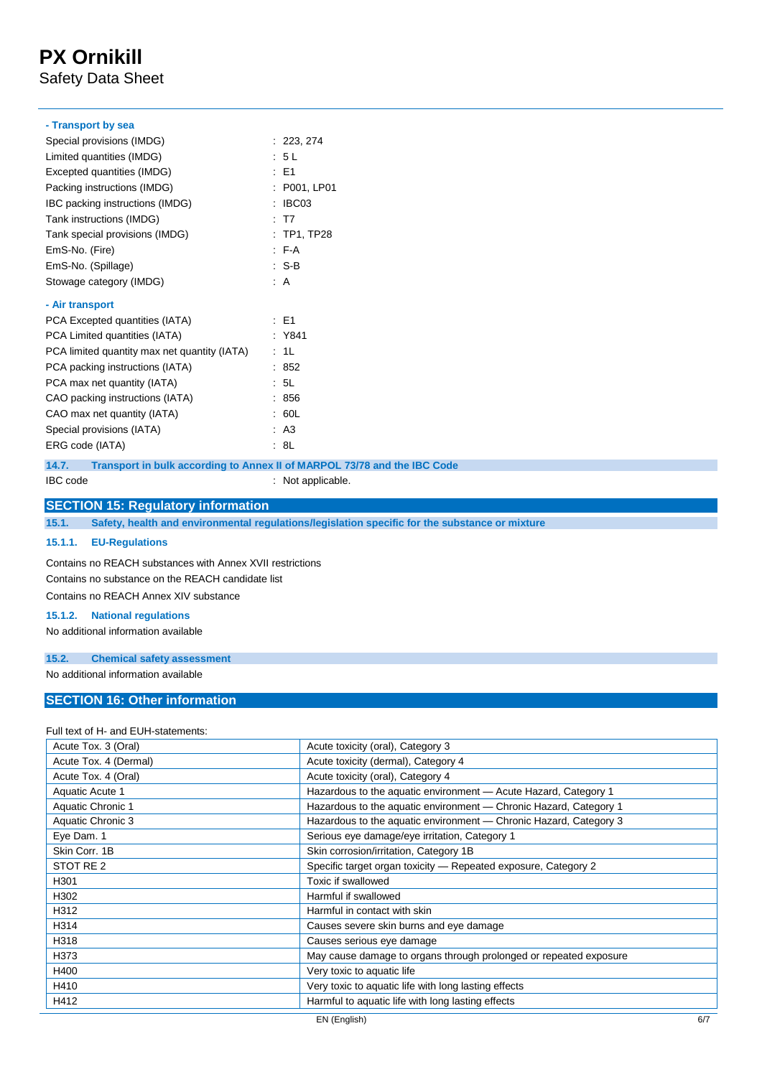Safety Data Sheet

| - Transport by sea                           |                                                                                                |
|----------------------------------------------|------------------------------------------------------------------------------------------------|
| Special provisions (IMDG)                    | : 223, 274                                                                                     |
| Limited quantities (IMDG)                    | : 5L                                                                                           |
| Excepted quantities (IMDG)                   | $\cdot$ F1                                                                                     |
| Packing instructions (IMDG)                  | : P001, LP01                                                                                   |
| IBC packing instructions (IMDG)              | $\therefore$ IBC03                                                                             |
| Tank instructions (IMDG)                     | : T7                                                                                           |
| Tank special provisions (IMDG)               | $:$ TP1, TP28                                                                                  |
| EmS-No. (Fire)                               | $F-A$                                                                                          |
| EmS-No. (Spillage)                           | $:$ S-B                                                                                        |
| Stowage category (IMDG)                      | : A                                                                                            |
| - Air transport                              |                                                                                                |
| PCA Excepted quantities (IATA)               | $E = 51$                                                                                       |
| PCA Limited quantities (IATA)                | : Y841                                                                                         |
| PCA limited quantity max net quantity (IATA) | : 1L                                                                                           |
| PCA packing instructions (IATA)              | : 852                                                                                          |
| PCA max net quantity (IATA)                  | : 5L                                                                                           |
| CAO packing instructions (IATA)              | : 856                                                                                          |
| CAO max net quantity (IATA)                  | : 60L                                                                                          |
| Special provisions (IATA)                    | : A3                                                                                           |
| ERG code (IATA)                              | : 8L                                                                                           |
| 14.7.                                        | Transport in bulk according to Annex II of MARPOL 73/78 and the IBC Code                       |
| <b>IBC</b> code                              | : Not applicable.                                                                              |
| <b>SECTION 15: Regulatory information</b>    |                                                                                                |
| 15.1.                                        | Safety, health and environmental regulations/legislation specific for the substance or mixture |

#### **15.1.1. EU-Regulations**

Contains no REACH substances with Annex XVII restrictions Contains no substance on the REACH candidate list Contains no REACH Annex XIV substance

#### **15.1.2. National regulations**

No additional information available

### **15.2. Chemical safety assessment**

No additional information available

### **SECTION 16: Other information**

#### Full text of H- and EUH-statements:

| Acute Tox. 3 (Oral)   | Acute toxicity (oral), Category 3                                 |
|-----------------------|-------------------------------------------------------------------|
| Acute Tox. 4 (Dermal) | Acute toxicity (dermal), Category 4                               |
| Acute Tox. 4 (Oral)   | Acute toxicity (oral), Category 4                                 |
| Aquatic Acute 1       | Hazardous to the aquatic environment - Acute Hazard, Category 1   |
| Aquatic Chronic 1     | Hazardous to the aquatic environment - Chronic Hazard, Category 1 |
| Aquatic Chronic 3     | Hazardous to the aquatic environment - Chronic Hazard, Category 3 |
| Eye Dam. 1            | Serious eye damage/eye irritation, Category 1                     |
| Skin Corr, 1B         | Skin corrosion/irritation, Category 1B                            |
| STOT RE 2             | Specific target organ toxicity – Repeated exposure, Category 2    |
| H301                  | Toxic if swallowed                                                |
| H302                  | Harmful if swallowed                                              |
| H312                  | Harmful in contact with skin                                      |
| H314                  | Causes severe skin burns and eye damage                           |
| H318                  | Causes serious eye damage                                         |
| H373                  | May cause damage to organs through prolonged or repeated exposure |
| H400                  | Very toxic to aquatic life                                        |
| H410                  | Very toxic to aquatic life with long lasting effects              |
| H412                  | Harmful to aquatic life with long lasting effects                 |